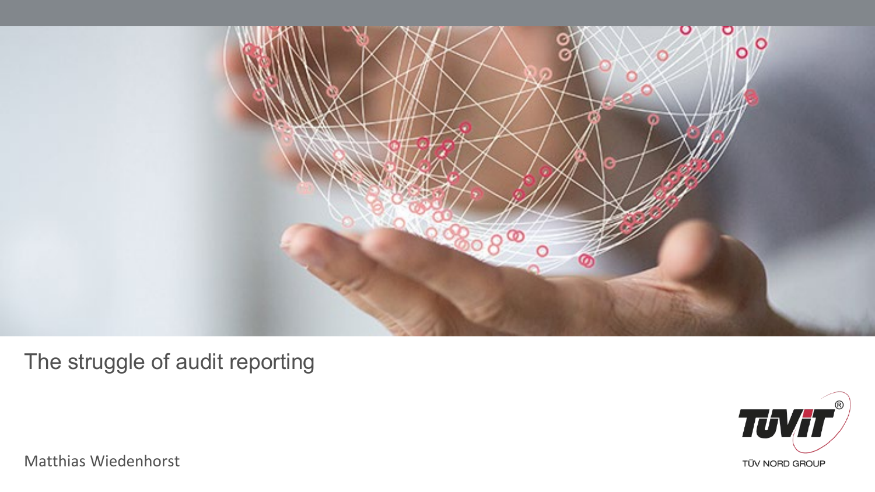

The struggle of audit reporting



Matthias Wiedenhorst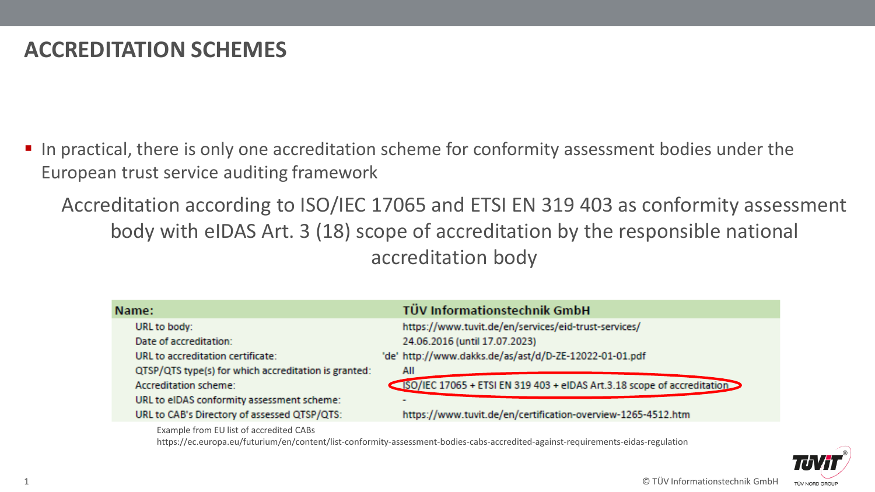# **ACCREDITATION SCHEMES**

In practical, there is only one accreditation scheme for conformity assessment bodies under the European trust service auditing framework

Accreditation according to ISO/IEC 17065 and ETSI EN 319 403 as conformity assessment body with eIDAS Art. 3 (18) scope of accreditation by the responsible national accreditation body

| Name:                                                | <b>TÜV Informationstechnik GmbH</b>                                    |
|------------------------------------------------------|------------------------------------------------------------------------|
| URL to body:                                         | https://www.tuvit.de/en/services/eid-trust-services/                   |
| Date of accreditation:                               | 24.06.2016 (until 17.07.2023)                                          |
| URL to accreditation certificate:                    | 'de' http://www.dakks.de/as/ast/d/D-ZE-12022-01-01.pdf                 |
| QTSP/QTS type(s) for which accreditation is granted: | All                                                                    |
| Accreditation scheme:                                | SO/IEC 17065 + ETSI EN 319 403 + eIDAS Art.3.18 scope of accreditation |
| URL to eIDAS conformity assessment scheme:           |                                                                        |
| URL to CAB's Directory of assessed QTSP/QTS:         | https://www.tuvit.de/en/certification-overview-1265-4512.htm           |
|                                                      |                                                                        |

Example from EU list of accredited CABs

https://ec.europa.eu/futurium/en/content/list-conformity-assessment-bodies-cabs-accredited-against-requirements-eidas-regulation

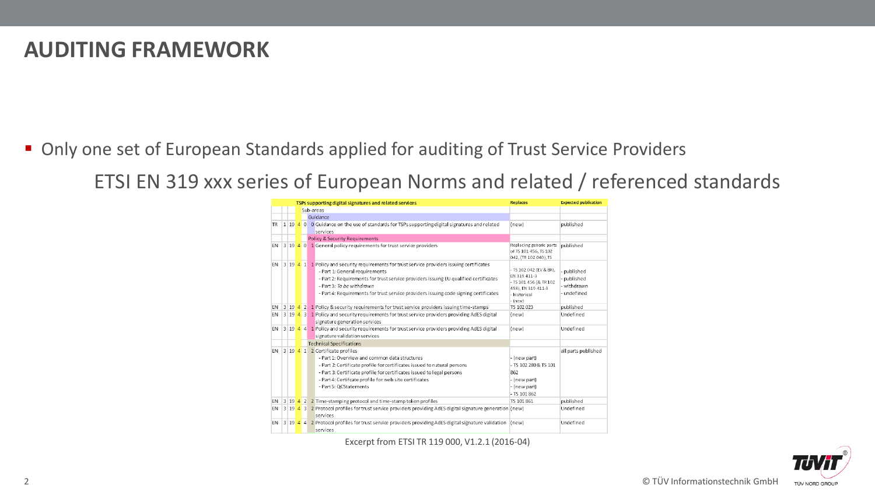#### **AUDITING FRAMEWORK**

■ Only one set of European Standards applied for auditing of Trust Service Providers

ETSI EN 319 xxx series of European Norms and related / referenced standards

|           |  |                                 |                                                                                      | TSPs supporting digital signatures and related services                                                                         | <b>Replaces</b>                                                           | <b>Expected publication</b> |
|-----------|--|---------------------------------|--------------------------------------------------------------------------------------|---------------------------------------------------------------------------------------------------------------------------------|---------------------------------------------------------------------------|-----------------------------|
|           |  |                                 |                                                                                      | Sub-areas                                                                                                                       |                                                                           |                             |
|           |  |                                 |                                                                                      | Guidance                                                                                                                        |                                                                           |                             |
| <b>TR</b> |  |                                 |                                                                                      | 1 19 4 0 0 Guidance on the use of standards for TSPs supporting digital signatures and related                                  | (new)                                                                     | published                   |
|           |  |                                 |                                                                                      | services                                                                                                                        |                                                                           |                             |
|           |  |                                 |                                                                                      | Policy & Security Requirements                                                                                                  |                                                                           |                             |
| <b>EN</b> |  |                                 |                                                                                      | 3 19 4 0 1 General policy requirements for trust service providers                                                              | Replacing generic parts<br>of TS 101 456. TS 102<br>042, (TR 102 040), TS | published                   |
| EN.       |  |                                 |                                                                                      | $\mid$ 3   19 $\mid$ 4 $\mid$ 1 $\mid$ Policy and security requirements for trust service providers issuing certificates        |                                                                           |                             |
|           |  |                                 |                                                                                      | - Part 1: General requirements                                                                                                  | - TS 102 042 (EV & BR).<br>EN 319 411-3                                   | - published                 |
|           |  |                                 |                                                                                      | - Part 2: Requirements for trust service providers issuing EU qualified certificates                                            | - TS 101 456 (& TR 102                                                    | - published                 |
|           |  |                                 |                                                                                      | - Part 3: To be withdrawn                                                                                                       | 458), EN 319 411-3                                                        | - withdrawn                 |
|           |  |                                 | - Part 4: Requirements for trust service providers issuing code signing certificates | - historical<br>- (new)                                                                                                         | - undefined                                                               |                             |
| EN        |  |                                 |                                                                                      | 3 19 4 2 1 Policy & security requirements for trust service providers issuing time-stamps                                       | TS 102 023                                                                | published                   |
| EN.       |  |                                 |                                                                                      | 3 19 4 3 1 Policy and security requirements for trust service providers providing AdES digital<br>signature generation services | (new)                                                                     | Undefined                   |
| EN.       |  |                                 |                                                                                      | 3 19 4 4 1 Policy and security requirements for trust service providers providing AdES digital                                  | (new)                                                                     | Undefined                   |
|           |  |                                 |                                                                                      | signature validation services                                                                                                   |                                                                           |                             |
|           |  |                                 |                                                                                      | <b>Technical Specifications</b>                                                                                                 |                                                                           |                             |
| EN.       |  | 3 19 4 1 2 Certificate profiles |                                                                                      | all parts published                                                                                                             |                                                                           |                             |
|           |  |                                 |                                                                                      | - Part 1: Overview and common data structures                                                                                   | - (new part)                                                              |                             |
|           |  |                                 | - Part 2: Certificate profile for certificates issued to natural persons             | - TS 102 280 & TS 101                                                                                                           |                                                                           |                             |
|           |  |                                 | - Part 3: Certificate profile for certificates issued to legal persons               | 862                                                                                                                             |                                                                           |                             |
|           |  |                                 |                                                                                      | - Part 4: Certifcate profile for web site certificates                                                                          | - (new part)                                                              |                             |
|           |  |                                 |                                                                                      | - Part 5: OCStatements                                                                                                          | - (new part)                                                              |                             |
|           |  |                                 |                                                                                      |                                                                                                                                 | $-TS$ 101 862                                                             |                             |
| EN        |  |                                 |                                                                                      | 3 19 4 2 2 Time-stamping protocol and time-stamp token profiles                                                                 | TS 101 861                                                                | published                   |
| <b>FN</b> |  |                                 |                                                                                      | 3 19 4 3 2 Protocol profiles for trust service providers providing AdES digital signature generation (new)<br>services          |                                                                           | Undefined                   |
| EN        |  |                                 |                                                                                      | 3 19 4 4 2 Protocol profiles for trust service providers providing AdES digital signature validation<br>services                | (new)                                                                     | Undefined                   |

Excerpt from ETSI TR 119 000, V1.2.1 (2016-04)

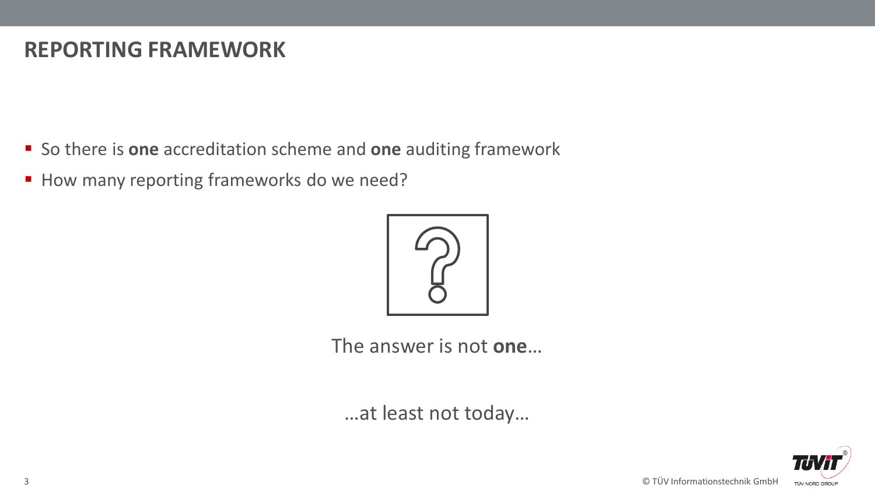### **REPORTING FRAMEWORK**

- So there is **one** accreditation scheme and **one** auditing framework
- How many reporting frameworks do we need?



The answer is not **one**…

…at least not today…



3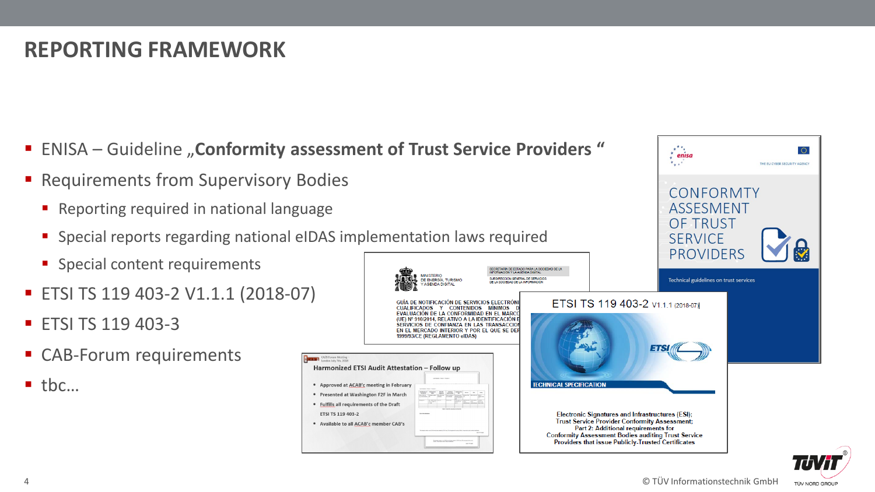$x^{\star}$  $\overline{\phantom{a}}$ enisa

CONFORMTY **ASSESMENT OF TRUST SERVICE** 

THE FILOVRED SECURITY AGENCY

# **REPORTING FRAMEWORK**

- **ENISA Guideline "Conformity assessment of Trust Service Providers"**
- **Requirements from Supervisory Bodies** 
	- **Reporting required in national language**
	- Special reports regarding national eIDAS implementation laws required
	- **Special content requirements**
- ETSI TS 119 403-2 V1.1.1 (2018-07)
- **ETSI TS 119 403-3**
- CAB-Forum requirements

 $\blacksquare$  the...



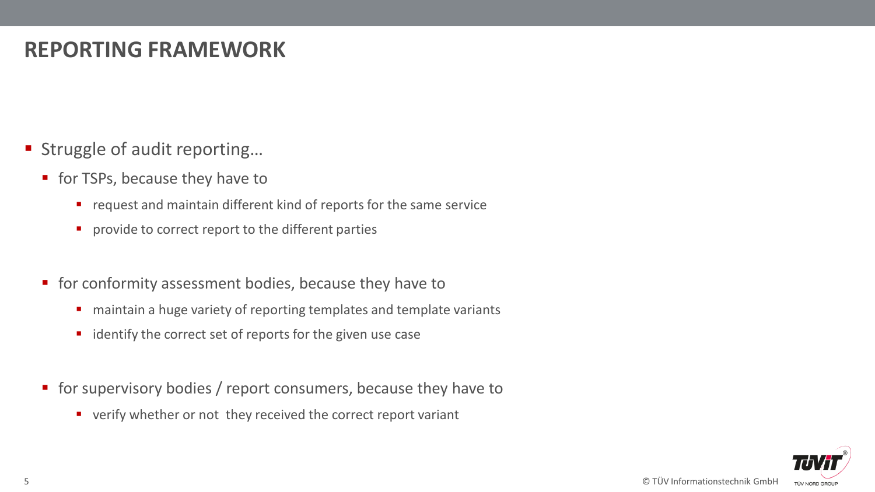# **REPORTING FRAMEWORK**

- Struggle of audit reporting...
	- **for TSPs, because they have to** 
		- **•** request and maintain different kind of reports for the same service
		- **P** provide to correct report to the different parties
	- **for conformity assessment bodies, because they have to** 
		- **n** maintain a huge variety of reporting templates and template variants
		- $\blacksquare$  identify the correct set of reports for the given use case
	- **for supervisory bodies / report consumers, because they have to** 
		- verify whether or not they received the correct report variant

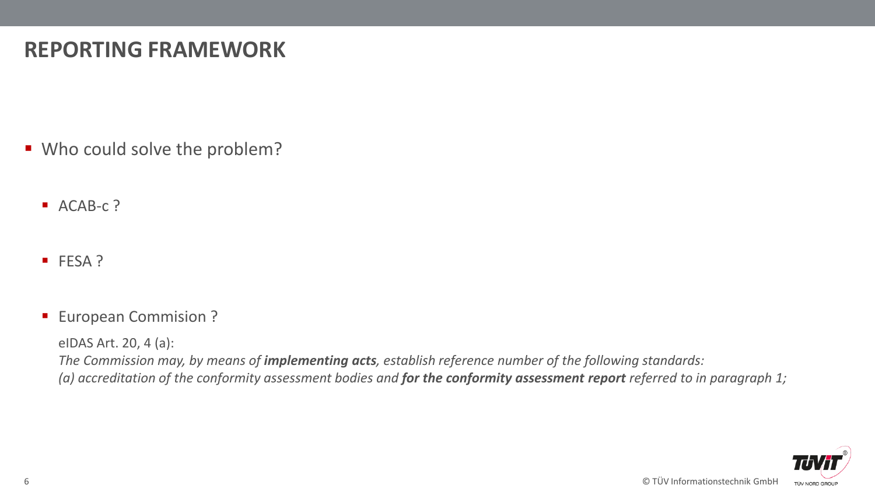# **REPORTING FRAMEWORK**

- Who could solve the problem?
	- ACAB-c?
	- FESA ?
	- **European Commision ?**

eIDAS Art. 20, 4 (a): *The Commission may, by means of implementing acts, establish reference number of the following standards: (a) accreditation of the conformity assessment bodies and for the conformity assessment report referred to in paragraph 1;*

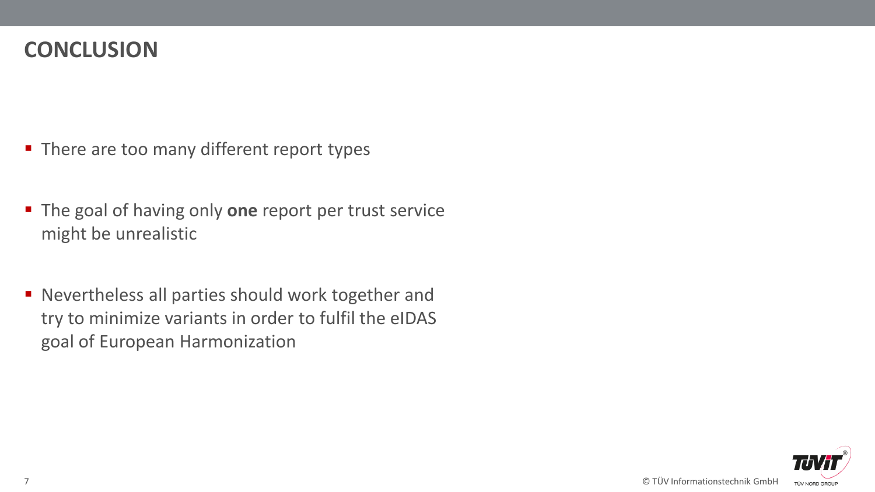#### **CONCLUSION**

- There are too many different report types
- **The goal of having only one report per trust service** might be unrealistic
- Nevertheless all parties should work together and try to minimize variants in order to fulfil the eIDAS goal of European Harmonization

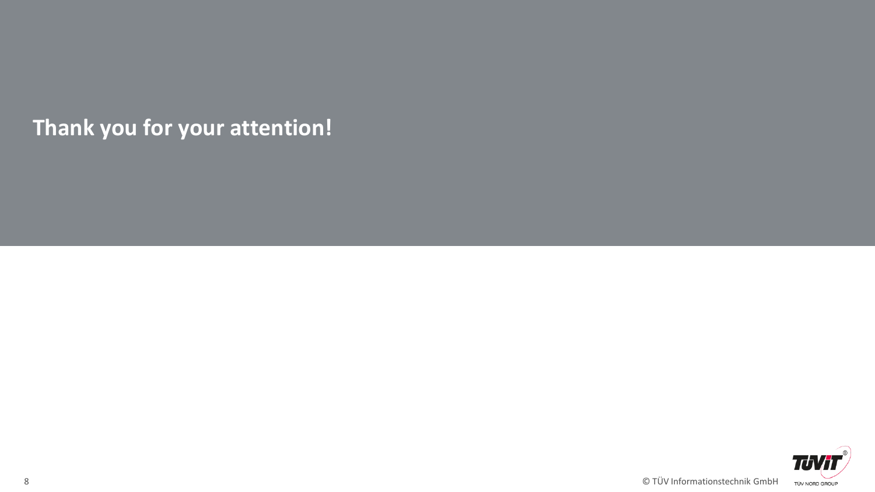**Thank you for your attention!**